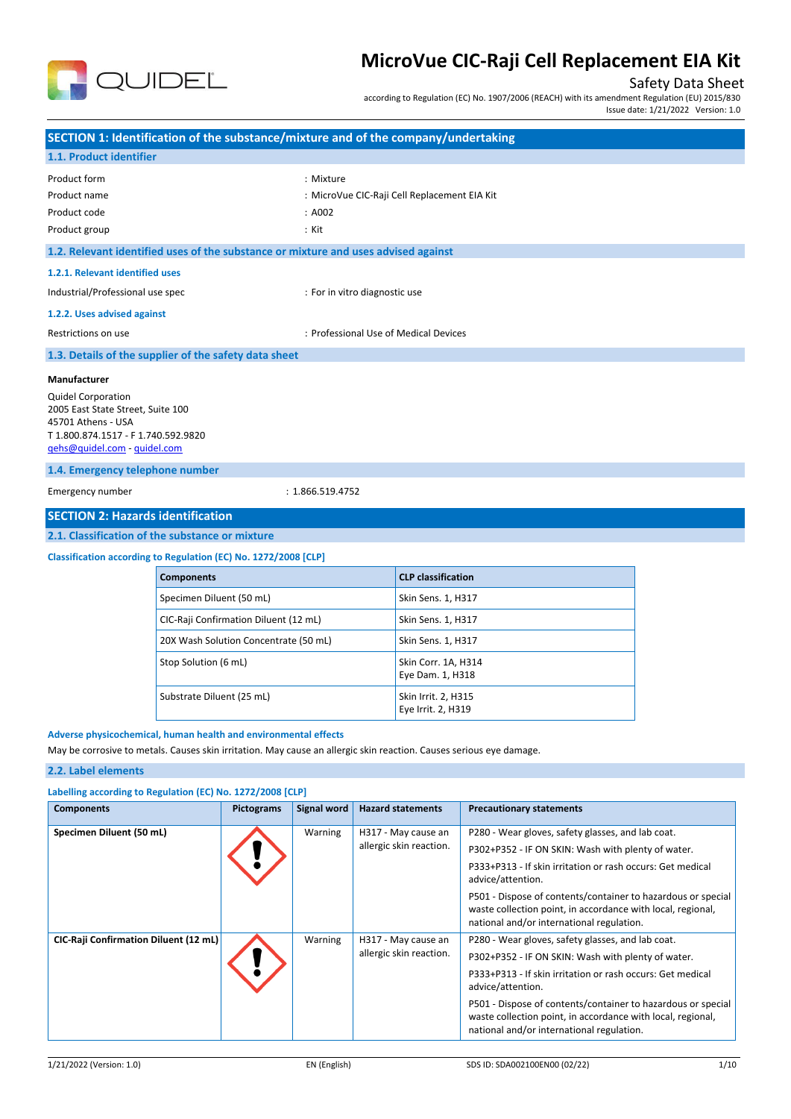

# Safety Data Sheet

according to Regulation (EC) No. 1907/2006 (REACH) with its amendment Regulation (EU) 2015/830

Issue date: 1/21/2022 Version: 1.0

|                                                                                                                                                             | SECTION 1: Identification of the substance/mixture and of the company/undertaking  |                               |                                              |  |  |
|-------------------------------------------------------------------------------------------------------------------------------------------------------------|------------------------------------------------------------------------------------|-------------------------------|----------------------------------------------|--|--|
| 1.1. Product identifier                                                                                                                                     |                                                                                    |                               |                                              |  |  |
| Product form                                                                                                                                                |                                                                                    | : Mixture                     |                                              |  |  |
| Product name                                                                                                                                                |                                                                                    |                               | : MicroVue CIC-Raji Cell Replacement EIA Kit |  |  |
| Product code                                                                                                                                                |                                                                                    | : A002                        |                                              |  |  |
| Product group                                                                                                                                               |                                                                                    | : Kit                         |                                              |  |  |
|                                                                                                                                                             | 1.2. Relevant identified uses of the substance or mixture and uses advised against |                               |                                              |  |  |
| 1.2.1. Relevant identified uses                                                                                                                             |                                                                                    |                               |                                              |  |  |
| Industrial/Professional use spec                                                                                                                            |                                                                                    | : For in vitro diagnostic use |                                              |  |  |
| 1.2.2. Uses advised against                                                                                                                                 |                                                                                    |                               |                                              |  |  |
| Restrictions on use                                                                                                                                         | : Professional Use of Medical Devices                                              |                               |                                              |  |  |
|                                                                                                                                                             | 1.3. Details of the supplier of the safety data sheet                              |                               |                                              |  |  |
| Manufacturer                                                                                                                                                |                                                                                    |                               |                                              |  |  |
| <b>Quidel Corporation</b><br>2005 East State Street, Suite 100<br>45701 Athens - USA<br>T 1.800.874.1517 - F 1.740.592.9820<br>qehs@quidel.com - quidel.com |                                                                                    |                               |                                              |  |  |
| 1.4. Emergency telephone number                                                                                                                             |                                                                                    |                               |                                              |  |  |
| Emergency number<br>: 1.866.519.4752                                                                                                                        |                                                                                    |                               |                                              |  |  |
| <b>SECTION 2: Hazards identification</b>                                                                                                                    |                                                                                    |                               |                                              |  |  |
|                                                                                                                                                             | 2.1. Classification of the substance or mixture                                    |                               |                                              |  |  |
| Classification according to Regulation (EC) No. 1272/2008 [CLP]                                                                                             |                                                                                    |                               |                                              |  |  |
|                                                                                                                                                             | <b>Components</b>                                                                  |                               | <b>CLP classification</b>                    |  |  |
|                                                                                                                                                             | Specimen Diluent (50 mL)                                                           |                               | Skin Sens. 1, H317                           |  |  |

| Specimen Diluent (50 mL)              | Skin Sens. 1, H317                        |
|---------------------------------------|-------------------------------------------|
| CIC-Raji Confirmation Diluent (12 mL) | Skin Sens. 1, H317                        |
| 20X Wash Solution Concentrate (50 mL) | Skin Sens. 1, H317                        |
| Stop Solution (6 mL)                  | Skin Corr. 1A, H314<br>Eye Dam. 1, H318   |
| Substrate Diluent (25 mL)             | Skin Irrit. 2, H315<br>Eye Irrit. 2, H319 |

### **Adverse physicochemical, human health and environmental effects**

May be corrosive to metals. Causes skin irritation. May cause an allergic skin reaction. Causes serious eye damage.

### **2.2. Label elements**

| Labelling according to Regulation (EC) No. 1272/2008 [CLP] |                   |             |                                                |                                                                                                                                                                                                                                                                                                                                                                        |  |
|------------------------------------------------------------|-------------------|-------------|------------------------------------------------|------------------------------------------------------------------------------------------------------------------------------------------------------------------------------------------------------------------------------------------------------------------------------------------------------------------------------------------------------------------------|--|
| <b>Components</b>                                          | <b>Pictograms</b> | Signal word | <b>Hazard statements</b>                       | <b>Precautionary statements</b>                                                                                                                                                                                                                                                                                                                                        |  |
| Specimen Diluent (50 mL)                                   |                   | Warning     | H317 - May cause an<br>allergic skin reaction. | P280 - Wear gloves, safety glasses, and lab coat.<br>P302+P352 - IF ON SKIN: Wash with plenty of water.<br>P333+P313 - If skin irritation or rash occurs: Get medical<br>advice/attention.<br>P501 - Dispose of contents/container to hazardous or special<br>waste collection point, in accordance with local, regional,<br>national and/or international regulation. |  |
| <b>CIC-Raji Confirmation Diluent (12 mL)</b>               |                   | Warning     | H317 - May cause an<br>allergic skin reaction. | P280 - Wear gloves, safety glasses, and lab coat.<br>P302+P352 - IF ON SKIN: Wash with plenty of water.<br>P333+P313 - If skin irritation or rash occurs: Get medical<br>advice/attention.<br>P501 - Dispose of contents/container to hazardous or special<br>waste collection point, in accordance with local, regional,<br>national and/or international regulation. |  |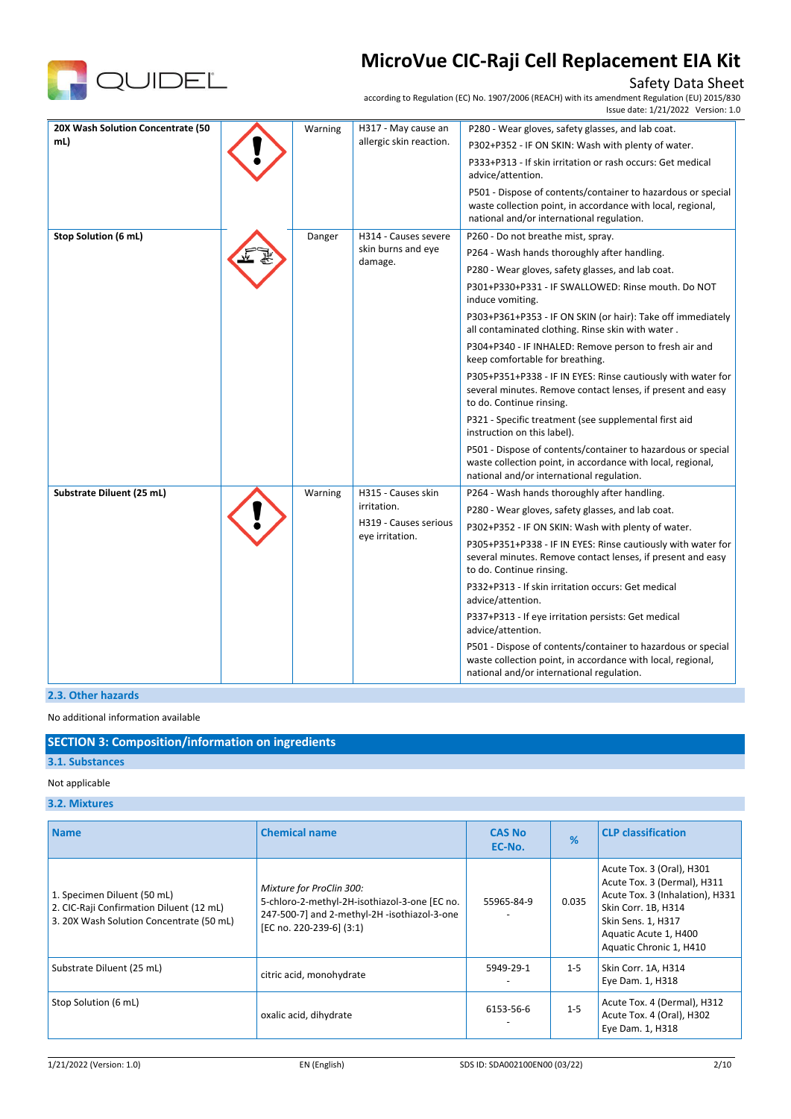

# Safety Data Sheet

according to Regulation (EC) No. 1907/2006 (REACH) with its amendment Regulation (EU) 2015/830 Issue date: 1/21/2022 Version: 1.0

| 20X Wash Solution Concentrate (50<br>mL) | Warning | H317 - May cause an<br>allergic skin reaction.                                | P280 - Wear gloves, safety glasses, and lab coat.<br>P302+P352 - IF ON SKIN: Wash with plenty of water.<br>P333+P313 - If skin irritation or rash occurs: Get medical<br>advice/attention.<br>P501 - Dispose of contents/container to hazardous or special<br>waste collection point, in accordance with local, regional,<br>national and/or international regulation.                                                                                                                                                                                                                                                                                                                                                                                                                                                                                            |
|------------------------------------------|---------|-------------------------------------------------------------------------------|-------------------------------------------------------------------------------------------------------------------------------------------------------------------------------------------------------------------------------------------------------------------------------------------------------------------------------------------------------------------------------------------------------------------------------------------------------------------------------------------------------------------------------------------------------------------------------------------------------------------------------------------------------------------------------------------------------------------------------------------------------------------------------------------------------------------------------------------------------------------|
| Stop Solution (6 mL)                     | Danger  | H314 - Causes severe<br>skin burns and eye<br>damage.                         | P260 - Do not breathe mist, spray.<br>P264 - Wash hands thoroughly after handling.<br>P280 - Wear gloves, safety glasses, and lab coat.<br>P301+P330+P331 - IF SWALLOWED: Rinse mouth. Do NOT<br>induce vomiting.<br>P303+P361+P353 - IF ON SKIN (or hair): Take off immediately<br>all contaminated clothing. Rinse skin with water.<br>P304+P340 - IF INHALED: Remove person to fresh air and<br>keep comfortable for breathing.<br>P305+P351+P338 - IF IN EYES: Rinse cautiously with water for<br>several minutes. Remove contact lenses, if present and easy<br>to do. Continue rinsing.<br>P321 - Specific treatment (see supplemental first aid<br>instruction on this label).<br>P501 - Dispose of contents/container to hazardous or special<br>waste collection point, in accordance with local, regional,<br>national and/or international regulation. |
| Substrate Diluent (25 mL)                | Warning | H315 - Causes skin<br>irritation.<br>H319 - Causes serious<br>eye irritation. | P264 - Wash hands thoroughly after handling.<br>P280 - Wear gloves, safety glasses, and lab coat.<br>P302+P352 - IF ON SKIN: Wash with plenty of water.<br>P305+P351+P338 - IF IN EYES: Rinse cautiously with water for<br>several minutes. Remove contact lenses, if present and easy<br>to do. Continue rinsing.<br>P332+P313 - If skin irritation occurs: Get medical<br>advice/attention.<br>P337+P313 - If eye irritation persists: Get medical<br>advice/attention.<br>P501 - Dispose of contents/container to hazardous or special<br>waste collection point, in accordance with local, regional,<br>national and/or international regulation.                                                                                                                                                                                                             |

**2.3. Other hazards**

No additional information available

# **SECTION 3: Composition/information on ingredients**

# **3.1. Substances**

# Not applicable

# **3.2. Mixtures**

| <b>Name</b>                                                                                                         | <b>Chemical name</b>                                                                                                                                  | <b>CAS No</b><br>EC-No. | %       | <b>CLP</b> classification                                                                                                                                                                    |
|---------------------------------------------------------------------------------------------------------------------|-------------------------------------------------------------------------------------------------------------------------------------------------------|-------------------------|---------|----------------------------------------------------------------------------------------------------------------------------------------------------------------------------------------------|
| 1. Specimen Diluent (50 mL)<br>2. CIC-Raji Confirmation Diluent (12 mL)<br>3. 20X Wash Solution Concentrate (50 mL) | Mixture for ProClin 300:<br>5-chloro-2-methyl-2H-isothiazol-3-one [EC no.<br>247-500-7] and 2-methyl-2H -isothiazol-3-one<br>[EC no. 220-239-6] (3:1) | 55965-84-9              | 0.035   | Acute Tox. 3 (Oral), H301<br>Acute Tox. 3 (Dermal), H311<br>Acute Tox. 3 (Inhalation), H331<br>Skin Corr. 1B, H314<br>Skin Sens. 1, H317<br>Aquatic Acute 1, H400<br>Aquatic Chronic 1, H410 |
| Substrate Diluent (25 mL)                                                                                           | citric acid, monohydrate                                                                                                                              | 5949-29-1               | $1 - 5$ | Skin Corr. 1A, H314<br>Eye Dam. 1, H318                                                                                                                                                      |
| Stop Solution (6 mL)                                                                                                | oxalic acid, dihydrate                                                                                                                                | 6153-56-6               | $1 - 5$ | Acute Tox. 4 (Dermal), H312<br>Acute Tox. 4 (Oral), H302<br>Eye Dam. 1, H318                                                                                                                 |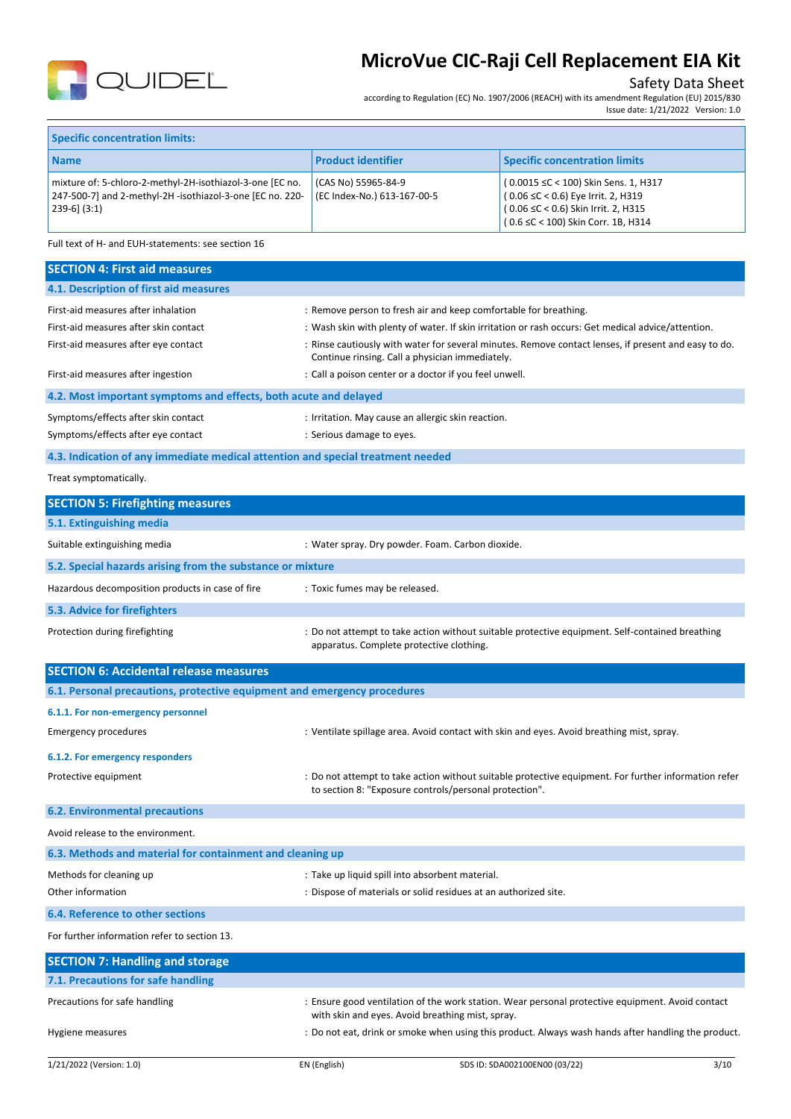

# Safety Data Sheet

according to Regulation (EC) No. 1907/2006 (REACH) with its amendment Regulation (EU) 2015/830 Issue date: 1/21/2022 Version: 1.0

| <b>Specific concentration limits:</b>                                                                                                       |                                                    |                                                                                                                                                         |  |  |
|---------------------------------------------------------------------------------------------------------------------------------------------|----------------------------------------------------|---------------------------------------------------------------------------------------------------------------------------------------------------------|--|--|
| <b>Name</b>                                                                                                                                 | <b>Product identifier</b>                          | <b>Specific concentration limits</b>                                                                                                                    |  |  |
| mixture of: 5-chloro-2-methyl-2H-isothiazol-3-one [EC no.<br>247-500-7] and 2-methyl-2H -isothiazol-3-one [EC no. 220-<br>$ 239-6 $ $(3:1)$ | (CAS No) 55965-84-9<br>(EC Index-No.) 613-167-00-5 | (0.0015 ≤C < 100) Skin Sens. 1, H317<br>(0.06 ≤C < 0.6) Eye Irrit. 2, H319<br>(0.06 ≤C < 0.6) Skin Irrit. 2, H315<br>(0.6 ≤C < 100) Skin Corr. 1B, H314 |  |  |

Full text of H- and EUH-statements: see section 16

| <b>SECTION 4: First aid measures</b>                                            |                                                                                                                                                              |
|---------------------------------------------------------------------------------|--------------------------------------------------------------------------------------------------------------------------------------------------------------|
| 4.1. Description of first aid measures                                          |                                                                                                                                                              |
| First-aid measures after inhalation                                             | : Remove person to fresh air and keep comfortable for breathing.                                                                                             |
| First-aid measures after skin contact                                           | : Wash skin with plenty of water. If skin irritation or rash occurs: Get medical advice/attention.                                                           |
| First-aid measures after eye contact                                            | : Rinse cautiously with water for several minutes. Remove contact lenses, if present and easy to do.<br>Continue rinsing. Call a physician immediately.      |
| First-aid measures after ingestion                                              | : Call a poison center or a doctor if you feel unwell.                                                                                                       |
| 4.2. Most important symptoms and effects, both acute and delayed                |                                                                                                                                                              |
| Symptoms/effects after skin contact                                             | : Irritation. May cause an allergic skin reaction.                                                                                                           |
| Symptoms/effects after eye contact                                              | : Serious damage to eyes.                                                                                                                                    |
| 4.3. Indication of any immediate medical attention and special treatment needed |                                                                                                                                                              |
| Treat symptomatically.                                                          |                                                                                                                                                              |
| <b>SECTION 5: Firefighting measures</b>                                         |                                                                                                                                                              |
| 5.1. Extinguishing media                                                        |                                                                                                                                                              |
| Suitable extinguishing media                                                    | : Water spray. Dry powder. Foam. Carbon dioxide.                                                                                                             |
| 5.2. Special hazards arising from the substance or mixture                      |                                                                                                                                                              |
| Hazardous decomposition products in case of fire                                | : Toxic fumes may be released.                                                                                                                               |
| 5.3. Advice for firefighters                                                    |                                                                                                                                                              |
| Protection during firefighting                                                  | : Do not attempt to take action without suitable protective equipment. Self-contained breathing<br>apparatus. Complete protective clothing.                  |
|                                                                                 |                                                                                                                                                              |
| <b>SECTION 6: Accidental release measures</b>                                   |                                                                                                                                                              |
| 6.1. Personal precautions, protective equipment and emergency procedures        |                                                                                                                                                              |
| 6.1.1. For non-emergency personnel                                              |                                                                                                                                                              |
| <b>Emergency procedures</b>                                                     | : Ventilate spillage area. Avoid contact with skin and eyes. Avoid breathing mist, spray.                                                                    |
| 6.1.2. For emergency responders                                                 |                                                                                                                                                              |
| Protective equipment                                                            | Do not attempt to take action without suitable protective equipment. For further information refer<br>to section 8: "Exposure controls/personal protection". |
| <b>6.2. Environmental precautions</b>                                           |                                                                                                                                                              |
| Avoid release to the environment.                                               |                                                                                                                                                              |
| 6.3. Methods and material for containment and cleaning up                       |                                                                                                                                                              |
| Methods for cleaning up                                                         | : Take up liquid spill into absorbent material.                                                                                                              |
| Other information                                                               | : Dispose of materials or solid residues at an authorized site.                                                                                              |
| 6.4. Reference to other sections                                                |                                                                                                                                                              |
| For further information refer to section 13.                                    |                                                                                                                                                              |
| <b>SECTION 7: Handling and storage</b>                                          |                                                                                                                                                              |
| 7.1. Precautions for safe handling                                              |                                                                                                                                                              |
| Precautions for safe handling                                                   | : Ensure good ventilation of the work station. Wear personal protective equipment. Avoid contact<br>with skin and eyes. Avoid breathing mist, spray.         |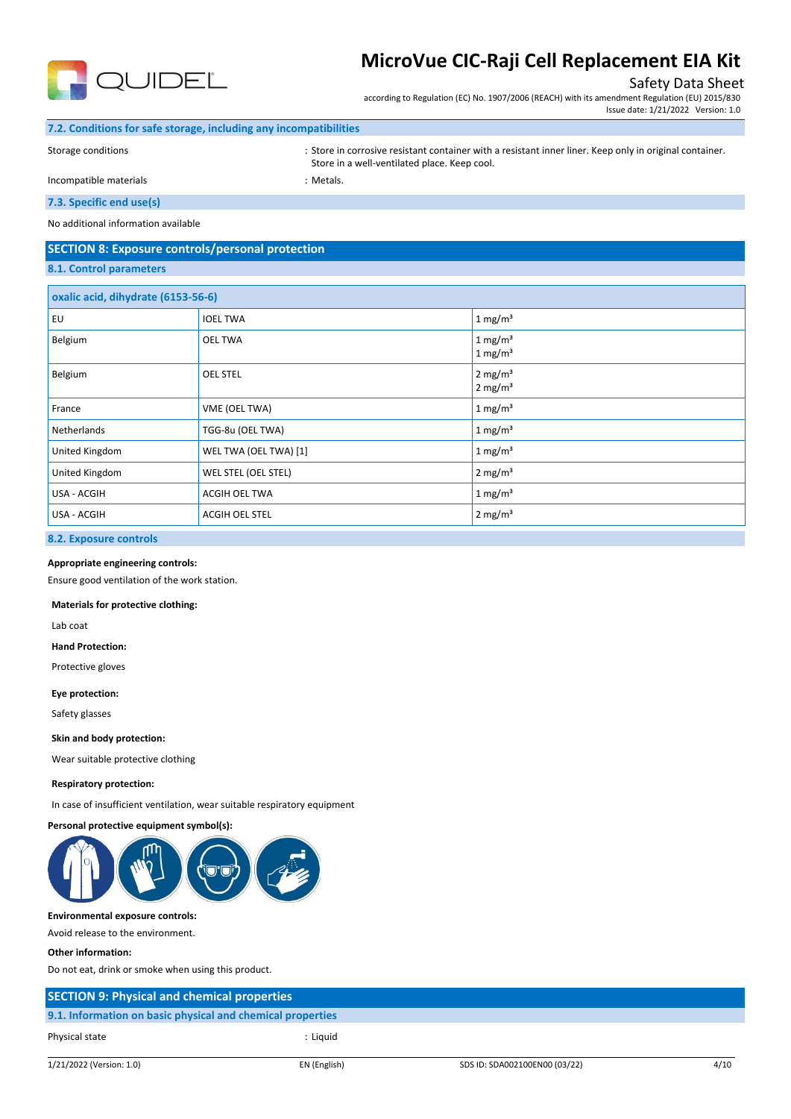

### Safety Data Sheet

according to Regulation (EC) No. 1907/2006 (REACH) with its amendment Regulation (EU) 2015/830 Issue date: 1/21/2022 Version: 1.0

#### **7.2. Conditions for safe storage, including any incompatibilities**

Storage conditions : Store in corrosive resistant container with a resistant inner liner. Keep only in original container. Store in a well-ventilated place. Keep cool.

Incompatible materials **incompatible** materials

### **7.3. Specific end use(s)**

No additional information available

# **SECTION 8: Exposure controls/personal protection**

# **8.1. Control parameters**

| oxalic acid, dihydrate (6153-56-6) |                       |                                            |  |  |
|------------------------------------|-----------------------|--------------------------------------------|--|--|
| EU                                 | <b>IOEL TWA</b>       | 1 mg/m <sup>3</sup>                        |  |  |
| Belgium                            | <b>OEL TWA</b>        | 1 mg/m <sup>3</sup><br>1 mg/m <sup>3</sup> |  |  |
| Belgium                            | <b>OEL STEL</b>       | 2 mg/m <sup>3</sup><br>$2 \text{ mg/m}^3$  |  |  |
| France                             | VME (OEL TWA)         | 1 mg/m <sup>3</sup>                        |  |  |
| Netherlands                        | TGG-8u (OEL TWA)      | 1 mg/m <sup>3</sup>                        |  |  |
| United Kingdom                     | WEL TWA (OEL TWA) [1] | 1 mg/m <sup>3</sup>                        |  |  |
| United Kingdom                     | WEL STEL (OEL STEL)   | $2 \text{ mg/m}^3$                         |  |  |
| USA - ACGIH                        | <b>ACGIH OEL TWA</b>  | 1 mg/ $m3$                                 |  |  |
| USA - ACGIH                        | ACGIH OEL STEL        | $2 \text{ mg/m}^3$                         |  |  |

#### **8.2. Exposure controls**

#### **Appropriate engineering controls:**

Ensure good ventilation of the work station.

#### **Materials for protective clothing:**

Lab coat

#### **Hand Protection:**

Protective gloves

#### **Eye protection:**

Safety glasses

#### **Skin and body protection:**

Wear suitable protective clothing

#### **Respiratory protection:**

In case of insufficient ventilation, wear suitable respiratory equipment

#### **Personal protective equipment symbol(s):**



#### **Environmental exposure controls:**

Avoid release to the environment.

#### **Other information:**

Do not eat, drink or smoke when using this product.

| <b>SECTION 9: Physical and chemical properties</b>         |  |
|------------------------------------------------------------|--|
| 9.1. Information on basic physical and chemical properties |  |
| : Liauid<br>Physical state                                 |  |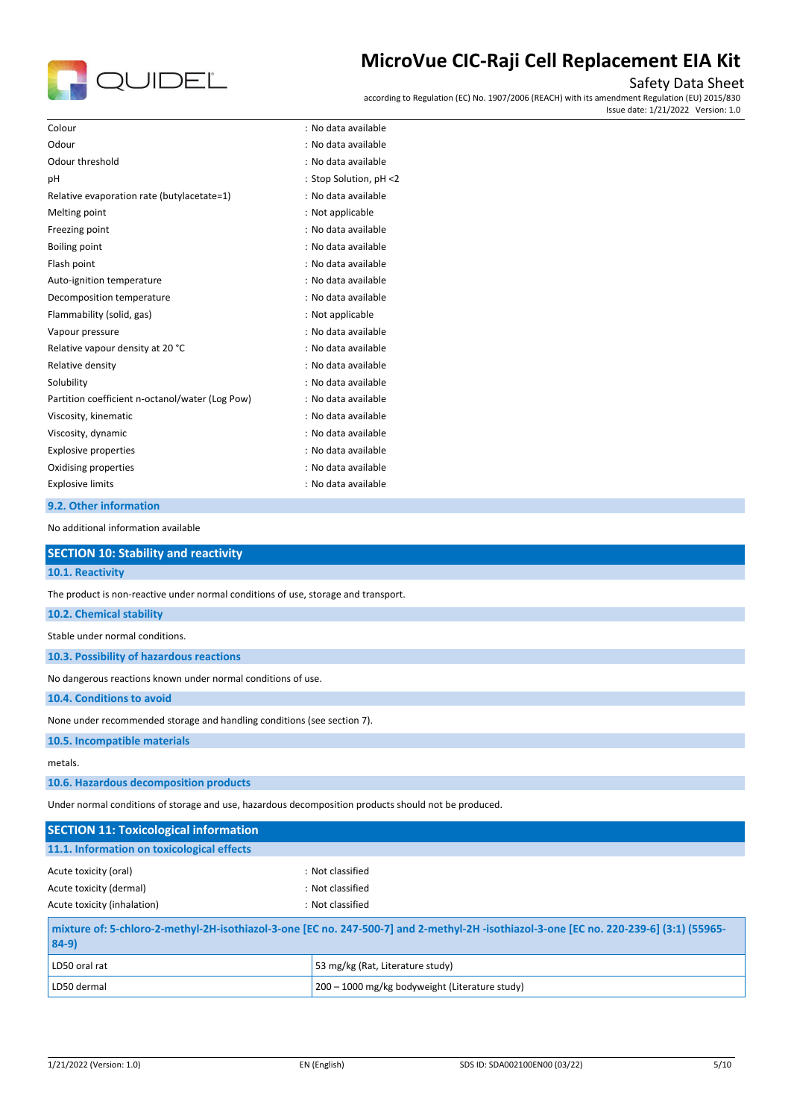

# Safety Data Sheet

according to Regulation (EC) No. 1907/2006 (REACH) with its amendment Regulation (EU) 2015/830 Issue date: 1/21/2022 Version: 1.0

| Colour                                          | : No data available    |
|-------------------------------------------------|------------------------|
| Odour                                           | : No data available    |
| Odour threshold                                 | : No data available    |
| рH                                              | : Stop Solution, pH <2 |
| Relative evaporation rate (butylacetate=1)      | : No data available    |
| Melting point                                   | : Not applicable       |
| Freezing point                                  | : No data available    |
| Boiling point                                   | : No data available    |
| Flash point                                     | : No data available    |
| Auto-ignition temperature                       | : No data available    |
| Decomposition temperature                       | : No data available    |
| Flammability (solid, gas)                       | : Not applicable       |
| Vapour pressure                                 | : No data available    |
| Relative vapour density at 20 °C                | : No data available    |
| Relative density                                | : No data available    |
| Solubility                                      | : No data available    |
| Partition coefficient n-octanol/water (Log Pow) | : No data available    |
| Viscosity, kinematic                            | : No data available    |
| Viscosity, dynamic                              | : No data available    |
| <b>Explosive properties</b>                     | : No data available    |
| Oxidising properties                            | : No data available    |
| <b>Explosive limits</b>                         | : No data available    |
|                                                 |                        |

### **9.2. Other information**

No additional information available

| <b>SECTION 10: Stability and reactivity</b>                                                          |                  |  |  |  |
|------------------------------------------------------------------------------------------------------|------------------|--|--|--|
| 10.1. Reactivity                                                                                     |                  |  |  |  |
| The product is non-reactive under normal conditions of use, storage and transport.                   |                  |  |  |  |
| 10.2. Chemical stability                                                                             |                  |  |  |  |
| Stable under normal conditions.                                                                      |                  |  |  |  |
| 10.3. Possibility of hazardous reactions                                                             |                  |  |  |  |
| No dangerous reactions known under normal conditions of use.                                         |                  |  |  |  |
| 10.4. Conditions to avoid                                                                            |                  |  |  |  |
| None under recommended storage and handling conditions (see section 7).                              |                  |  |  |  |
| 10.5. Incompatible materials                                                                         |                  |  |  |  |
| metals.                                                                                              |                  |  |  |  |
| 10.6. Hazardous decomposition products                                                               |                  |  |  |  |
| Under normal conditions of storage and use, hazardous decomposition products should not be produced. |                  |  |  |  |
| <b>SECTION 11: Toxicological information</b>                                                         |                  |  |  |  |
| 11.1. Information on toxicological effects                                                           |                  |  |  |  |
| Acute toxicity (oral)                                                                                | : Not classified |  |  |  |
| Acute toxicity (dermal)                                                                              | : Not classified |  |  |  |
| Acute toxicity (inhalation)                                                                          | : Not classified |  |  |  |

| mixture of: 5-chloro-2-methyl-2H-isothiazol-3-one [EC no. 247-500-7] and 2-methyl-2H-isothiazol-3-one [EC no. 220-239-6] (3:1) (55965-<br>$84-9)$ |                                  |  |
|---------------------------------------------------------------------------------------------------------------------------------------------------|----------------------------------|--|
| LD50 oral rat                                                                                                                                     | 53 mg/kg (Rat, Literature study) |  |
| 200 - 1000 mg/kg bodyweight (Literature study)<br>LD50 dermal                                                                                     |                                  |  |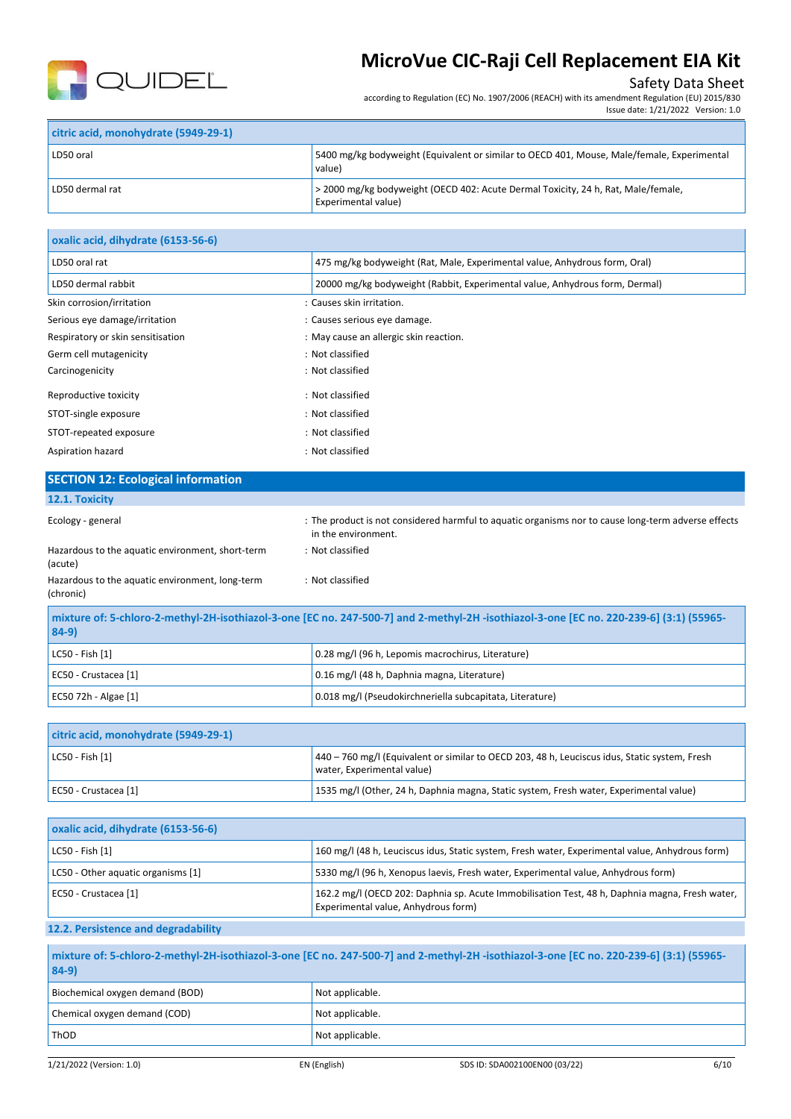

# Safety Data Sheet

Issue date: 1/21/2022 Version: 1.0

according to Regulation (EC) No. 1907/2006 (REACH) with its amendment Regulation (EU) 2015/830

| citric acid, monohydrate (5949-29-1) |                                                                                                                 |
|--------------------------------------|-----------------------------------------------------------------------------------------------------------------|
| LD50 oral                            | 5400 mg/kg bodyweight (Equivalent or similar to OECD 401, Mouse, Male/female, Experimental<br>value)            |
| LD50 dermal rat                      | > 2000 mg/kg bodyweight (OECD 402: Acute Dermal Toxicity, 24 h, Rat, Male/female,<br><b>Experimental value)</b> |

| oxalic acid, dihydrate (6153-56-6) |                                                                             |
|------------------------------------|-----------------------------------------------------------------------------|
| LD50 oral rat                      | 475 mg/kg bodyweight (Rat, Male, Experimental value, Anhydrous form, Oral)  |
| LD50 dermal rabbit                 | 20000 mg/kg bodyweight (Rabbit, Experimental value, Anhydrous form, Dermal) |
| Skin corrosion/irritation          | : Causes skin irritation.                                                   |
| Serious eye damage/irritation      | : Causes serious eye damage.                                                |
| Respiratory or skin sensitisation  | : May cause an allergic skin reaction.                                      |
| Germ cell mutagenicity             | : Not classified                                                            |
| Carcinogenicity                    | : Not classified                                                            |
| Reproductive toxicity              | : Not classified                                                            |
| STOT-single exposure               | : Not classified                                                            |
| STOT-repeated exposure             | : Not classified                                                            |
| Aspiration hazard                  | : Not classified                                                            |

# **SECTION 12: Ecological information**

### **12.1. Toxicity**

| <b>LE.L. IUAILILV</b>                                                                                                                             |                                                                                                                            |
|---------------------------------------------------------------------------------------------------------------------------------------------------|----------------------------------------------------------------------------------------------------------------------------|
| Ecology - general                                                                                                                                 | : The product is not considered harmful to aquatic organisms nor to cause long-term adverse effects<br>in the environment. |
| Hazardous to the aquatic environment, short-term<br>(acute)                                                                                       | : Not classified                                                                                                           |
| Hazardous to the aquatic environment, long-term<br>(chronic)                                                                                      | : Not classified                                                                                                           |
| mixture of: 5-chloro-2-methyl-2H-isothiazol-3-one [EC no. 247-500-7] and 2-methyl-2H-isothiazol-3-one [EC no. 220-239-6] (3:1) (55965-<br>$84-9)$ |                                                                                                                            |

| LC50 - Fish [1]      | 0.28 mg/l (96 h, Lepomis macrochirus, Literature)        |
|----------------------|----------------------------------------------------------|
| EC50 - Crustacea [1] | 0.16 mg/l (48 h, Daphnia magna, Literature)              |
| EC50 72h - Algae [1] | 0.018 mg/l (Pseudokirchneriella subcapitata, Literature) |

| citric acid, monohydrate (5949-29-1) |                                                                                                                             |
|--------------------------------------|-----------------------------------------------------------------------------------------------------------------------------|
| LC50 - Fish [1]                      | 440 - 760 mg/l (Equivalent or similar to OECD 203, 48 h, Leuciscus idus, Static system, Fresh<br>water, Experimental value) |
| EC50 - Crustacea [1]                 | 1535 mg/l (Other, 24 h, Daphnia magna, Static system, Fresh water, Experimental value)                                      |

| oxalic acid, dihydrate (6153-56-6) |                                                                                                                                       |
|------------------------------------|---------------------------------------------------------------------------------------------------------------------------------------|
| $ $ LC50 - Fish $[1]$              | 160 mg/l (48 h, Leuciscus idus, Static system, Fresh water, Experimental value, Anhydrous form)                                       |
| LC50 - Other aquatic organisms [1] | 5330 mg/l (96 h, Xenopus laevis, Fresh water, Experimental value, Anhydrous form)                                                     |
| EC50 - Crustacea [1]               | 162.2 mg/l (OECD 202: Daphnia sp. Acute Immobilisation Test, 48 h, Daphnia magna, Fresh water,<br>Experimental value, Anhydrous form) |

### **12.2. Persistence and degradability**

| mixture of: 5-chloro-2-methyl-2H-isothiazol-3-one [EC no. 247-500-7] and 2-methyl-2H -isothiazol-3-one [EC no. 220-239-6] (3:1) (55965-<br>$84-9$ |                 |
|---------------------------------------------------------------------------------------------------------------------------------------------------|-----------------|
| Biochemical oxygen demand (BOD)                                                                                                                   | Not applicable. |
| Chemical oxygen demand (COD)                                                                                                                      | Not applicable. |
| ThOD                                                                                                                                              | Not applicable. |
|                                                                                                                                                   |                 |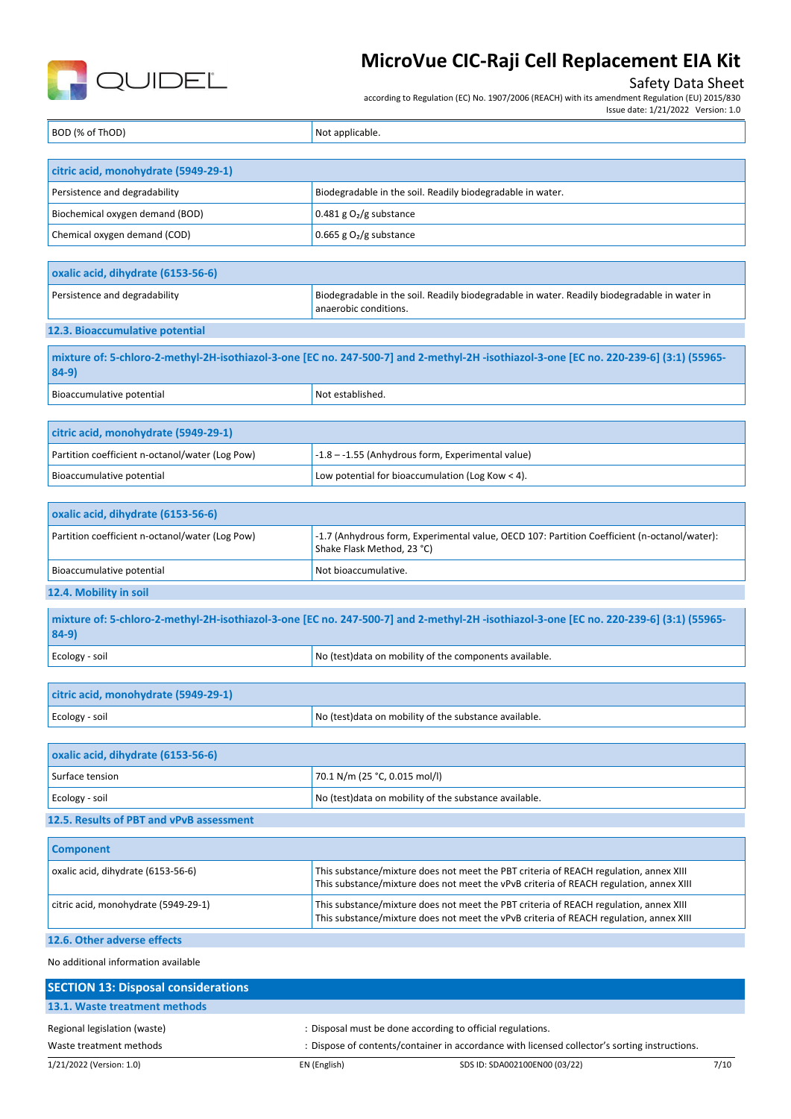

### Safety Data Sheet

according to Regulation (EC) No. 1907/2006 (REACH) with its amendment Regulation (EU) 2015/830

Issue date: 1/21/2022 Version: 1.0

| BOD (% of ThOD) | Not applicable. |
|-----------------|-----------------|
|                 |                 |

| citric acid, monohydrate (5949-29-1) |                                                            |
|--------------------------------------|------------------------------------------------------------|
| Persistence and degradability        | Biodegradable in the soil. Readily biodegradable in water. |
| Biochemical oxygen demand (BOD)      | $0.481$ g O <sub>2</sub> /g substance                      |
| Chemical oxygen demand (COD)         | $\vert$ 0.665 g O <sub>2</sub> /g substance                |

| oxalic acid, dihydrate (6153-56-6) |                                 |                                                                                                                       |
|------------------------------------|---------------------------------|-----------------------------------------------------------------------------------------------------------------------|
|                                    | Persistence and degradability   | Biodegradable in the soil. Readily biodegradable in water. Readily biodegradable in water in<br>anaerobic conditions. |
|                                    | 12.3. Bioaccumulative potential |                                                                                                                       |

**mixture of: 5-chloro-2-methyl-2H-isothiazol-3-one [EC no. 247-500-7] and 2-methyl-2H -isothiazol-3-one [EC no. 220-239-6] (3:1) (55965- 84-9)** Bioaccumulative potential Notestablished.

| citric acid, monohydrate (5949-29-1)            |                                                   |
|-------------------------------------------------|---------------------------------------------------|
| Partition coefficient n-octanol/water (Log Pow) | -1.8 - -1.55 (Anhydrous form, Experimental value) |
| Bioaccumulative potential                       | Low potential for bioaccumulation (Log Kow < 4).  |

| oxalic acid, dihydrate (6153-56-6)              |                                                                                                                            |
|-------------------------------------------------|----------------------------------------------------------------------------------------------------------------------------|
| Partition coefficient n-octanol/water (Log Pow) | -1.7 (Anhydrous form, Experimental value, OECD 107: Partition Coefficient (n-octanol/water):<br>Shake Flask Method, 23 °C) |
| Bioaccumulative potential                       | Not bioaccumulative.                                                                                                       |

# **12.4. Mobility in soil**

| mixture of: 5-chloro-2-methyl-2H-isothiazol-3-one [EC no. 247-500-7] and 2-methyl-2H-isothiazol-3-one [EC no. 220-239-6] (3:1) (55965-<br>$84-9$ |                                                         |  |
|--------------------------------------------------------------------------------------------------------------------------------------------------|---------------------------------------------------------|--|
| Ecology - soil                                                                                                                                   | No (test) data on mobility of the components available. |  |

| citric acid, monohydrate (5949-29-1) |                                                        |
|--------------------------------------|--------------------------------------------------------|
| Ecology - soil                       | No (test) data on mobility of the substance available. |

| oxalic acid, dihydrate (6153-56-6) |                                                        |  |
|------------------------------------|--------------------------------------------------------|--|
| Surface tension                    | 70.1 N/m (25 °C, 0.015 mol/l)                          |  |
| Ecology - soil                     | No (test) data on mobility of the substance available. |  |

# **12.5. Results of PBT and vPvB assessment**

| <b>Component</b>                     |                                                                                                                                                                                 |
|--------------------------------------|---------------------------------------------------------------------------------------------------------------------------------------------------------------------------------|
| oxalic acid, dihydrate (6153-56-6)   | This substance/mixture does not meet the PBT criteria of REACH regulation, annex XIII<br>This substance/mixture does not meet the vPvB criteria of REACH regulation, annex XIII |
| citric acid, monohydrate (5949-29-1) | This substance/mixture does not meet the PBT criteria of REACH regulation, annex XIII<br>This substance/mixture does not meet the vPvB criteria of REACH regulation, annex XIII |

### **12.6. Other adverse effects**

No additional information available

| <b>SECTION 13: Disposal considerations</b>                                                                               |              |                                                            |      |
|--------------------------------------------------------------------------------------------------------------------------|--------------|------------------------------------------------------------|------|
| 13.1. Waste treatment methods                                                                                            |              |                                                            |      |
| Regional legislation (waste)                                                                                             |              | : Disposal must be done according to official regulations. |      |
| : Dispose of contents/container in accordance with licensed collector's sorting instructions.<br>Waste treatment methods |              |                                                            |      |
| 1/21/2022 (Version: 1.0)                                                                                                 | EN (English) | SDS ID: SDA002100EN00 (03/22)                              | 7/10 |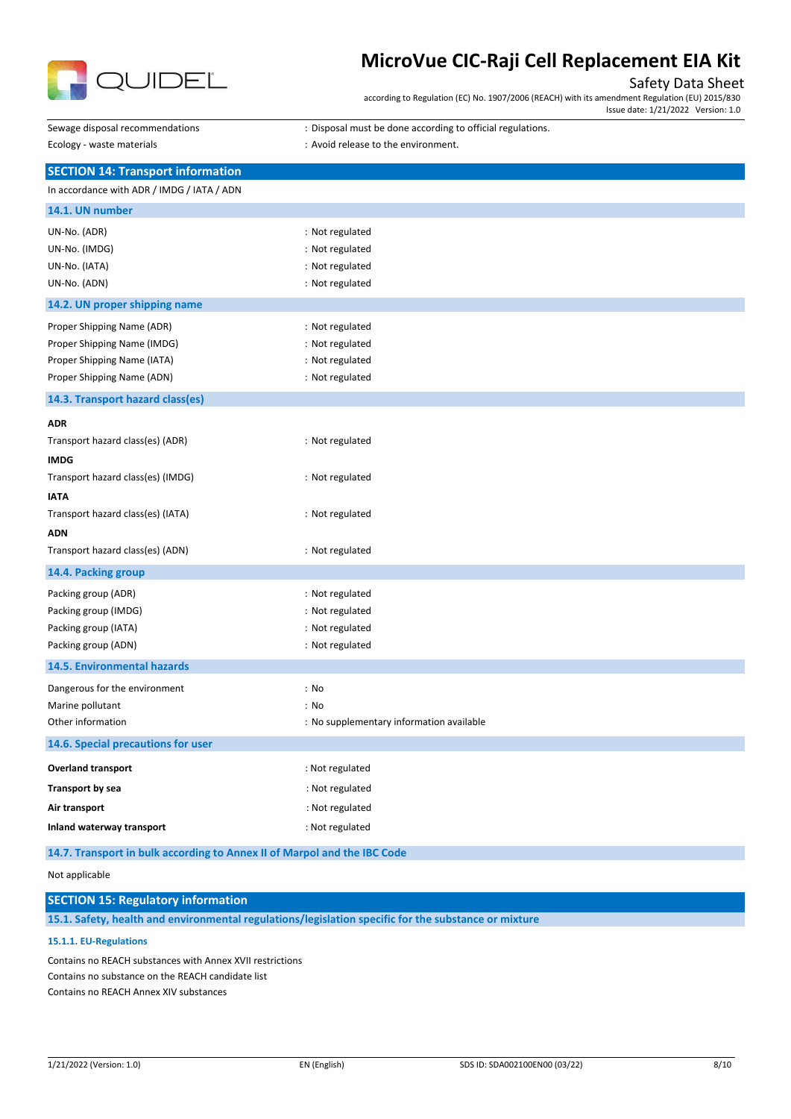

# Safety Data Sheet

according to Regulation (EC) No. 1907/2006 (REACH) with its amendment Regulation (EU) 2015/830 Issue date: 1/21/2022 Version: 1.0

| Sewage disposal recommendations                                          | : Disposal must be done according to official regulations. |
|--------------------------------------------------------------------------|------------------------------------------------------------|
| Ecology - waste materials                                                | : Avoid release to the environment.                        |
| <b>SECTION 14: Transport information</b>                                 |                                                            |
| In accordance with ADR / IMDG / IATA / ADN                               |                                                            |
| 14.1. UN number                                                          |                                                            |
| UN-No. (ADR)                                                             | : Not regulated                                            |
| UN-No. (IMDG)                                                            | : Not regulated                                            |
| UN-No. (IATA)                                                            | : Not regulated                                            |
| UN-No. (ADN)                                                             | : Not regulated                                            |
| 14.2. UN proper shipping name                                            |                                                            |
| Proper Shipping Name (ADR)                                               | : Not regulated                                            |
| Proper Shipping Name (IMDG)                                              | : Not regulated                                            |
| Proper Shipping Name (IATA)                                              | : Not regulated                                            |
| Proper Shipping Name (ADN)                                               | : Not regulated                                            |
| 14.3. Transport hazard class(es)                                         |                                                            |
| <b>ADR</b>                                                               |                                                            |
| Transport hazard class(es) (ADR)                                         | : Not regulated                                            |
| <b>IMDG</b>                                                              |                                                            |
| Transport hazard class(es) (IMDG)                                        | : Not regulated                                            |
| <b>IATA</b>                                                              |                                                            |
| Transport hazard class(es) (IATA)                                        | : Not regulated                                            |
| ADN                                                                      |                                                            |
| Transport hazard class(es) (ADN)                                         | : Not regulated                                            |
| 14.4. Packing group                                                      |                                                            |
| Packing group (ADR)                                                      | : Not regulated                                            |
| Packing group (IMDG)                                                     | : Not regulated                                            |
| Packing group (IATA)                                                     | : Not regulated                                            |
| Packing group (ADN)                                                      | : Not regulated                                            |
| 14.5. Environmental hazards                                              |                                                            |
| Dangerous for the environment                                            | : No                                                       |
| Marine pollutant                                                         | : No                                                       |
| Other information                                                        | : No supplementary information available                   |
| 14.6. Special precautions for user                                       |                                                            |
| Overland transport                                                       | : Not regulated                                            |
| <b>Transport by sea</b>                                                  | : Not regulated                                            |
| Air transport                                                            | : Not regulated                                            |
| Inland waterway transport                                                | : Not regulated                                            |
| 14.7. Transport in bulk according to Annex II of Marpol and the IBC Code |                                                            |

Not applicable

# **SECTION 15: Regulatory information**

**15.1. Safety, health and environmental regulations/legislation specific for the substance or mixture**

#### **15.1.1. EU-Regulations**

Contains no REACH substances with Annex XVII restrictions Contains no substance on the REACH candidate list Contains no REACH Annex XIV substances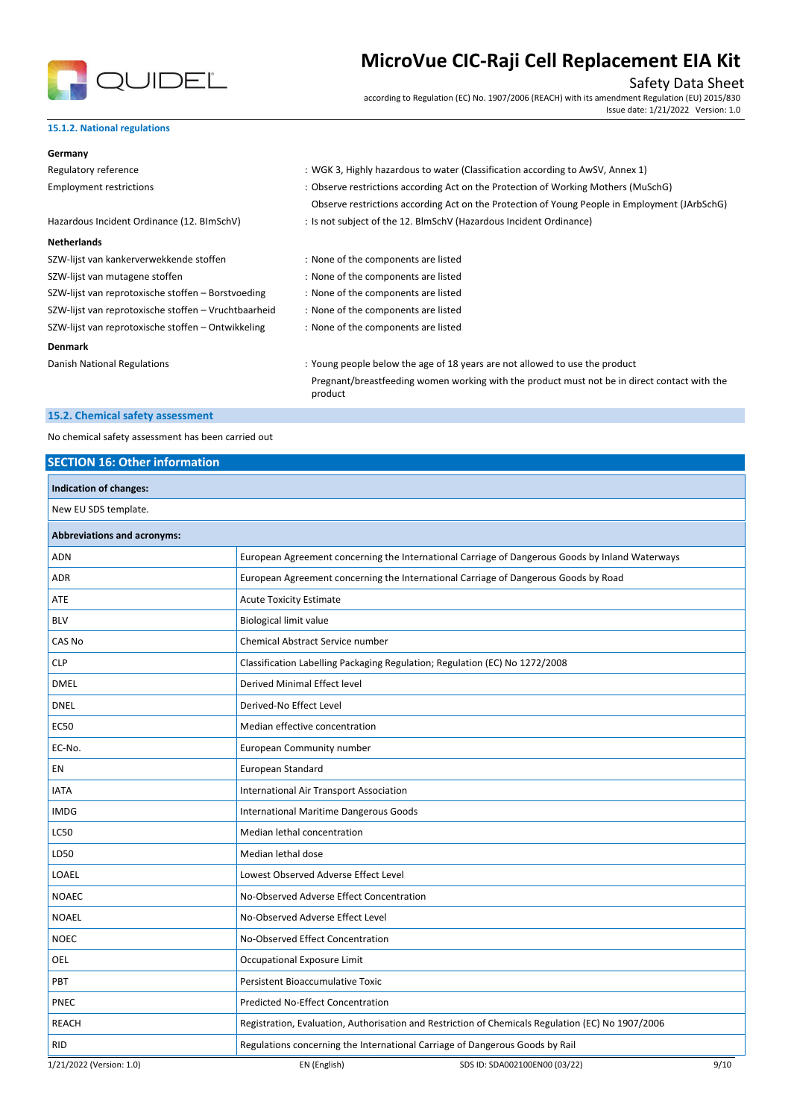

Safety Data Sheet

according to Regulation (EC) No. 1907/2006 (REACH) with its amendment Regulation (EU) 2015/830 Issue date: 1/21/2022 Version: 1.0

#### **15.1.2. National regulations**

| Germany                                              |                                                                                                         |
|------------------------------------------------------|---------------------------------------------------------------------------------------------------------|
| Regulatory reference                                 | : WGK 3, Highly hazardous to water (Classification according to AwSV, Annex 1)                          |
| <b>Employment restrictions</b>                       | : Observe restrictions according Act on the Protection of Working Mothers (MuSchG)                      |
|                                                      | Observe restrictions according Act on the Protection of Young People in Employment (JArbSchG)           |
| Hazardous Incident Ordinance (12. BImSchV)           | : Is not subject of the 12. BlmSchV (Hazardous Incident Ordinance)                                      |
| <b>Netherlands</b>                                   |                                                                                                         |
| SZW-lijst van kankerverwekkende stoffen              | : None of the components are listed                                                                     |
| SZW-lijst van mutagene stoffen                       | : None of the components are listed                                                                     |
| SZW-lijst van reprotoxische stoffen – Borstvoeding   | : None of the components are listed                                                                     |
| SZW-lijst van reprotoxische stoffen – Vruchtbaarheid | : None of the components are listed                                                                     |
| SZW-lijst van reprotoxische stoffen - Ontwikkeling   | : None of the components are listed                                                                     |
| <b>Denmark</b>                                       |                                                                                                         |
| Danish National Regulations                          | : Young people below the age of 18 years are not allowed to use the product                             |
|                                                      | Pregnant/breastfeeding women working with the product must not be in direct contact with the<br>product |
|                                                      |                                                                                                         |

### **15.2. Chemical safety assessment**

No chemical safety assessment has been carried out

# **SECTION 16: Other information**

| Indication of changes:             |                                          |                                                                                                   |      |
|------------------------------------|------------------------------------------|---------------------------------------------------------------------------------------------------|------|
| New EU SDS template.               |                                          |                                                                                                   |      |
| <b>Abbreviations and acronyms:</b> |                                          |                                                                                                   |      |
| <b>ADN</b>                         |                                          | European Agreement concerning the International Carriage of Dangerous Goods by Inland Waterways   |      |
| ADR                                |                                          | European Agreement concerning the International Carriage of Dangerous Goods by Road               |      |
| ATE                                | <b>Acute Toxicity Estimate</b>           |                                                                                                   |      |
| <b>BLV</b>                         | <b>Biological limit value</b>            |                                                                                                   |      |
| CAS No                             | <b>Chemical Abstract Service number</b>  |                                                                                                   |      |
| <b>CLP</b>                         |                                          | Classification Labelling Packaging Regulation; Regulation (EC) No 1272/2008                       |      |
| <b>DMEL</b>                        | Derived Minimal Effect level             |                                                                                                   |      |
| <b>DNEL</b>                        | Derived-No Effect Level                  |                                                                                                   |      |
| <b>EC50</b>                        | Median effective concentration           |                                                                                                   |      |
| EC-No.                             | European Community number                |                                                                                                   |      |
| EN                                 | European Standard                        |                                                                                                   |      |
| <b>IATA</b>                        | International Air Transport Association  |                                                                                                   |      |
| <b>IMDG</b>                        | International Maritime Dangerous Goods   |                                                                                                   |      |
| <b>LC50</b>                        | Median lethal concentration              |                                                                                                   |      |
| LD50                               | Median lethal dose                       |                                                                                                   |      |
| LOAEL                              | Lowest Observed Adverse Effect Level     |                                                                                                   |      |
| <b>NOAEC</b>                       | No-Observed Adverse Effect Concentration |                                                                                                   |      |
| <b>NOAEL</b>                       | No-Observed Adverse Effect Level         |                                                                                                   |      |
| <b>NOEC</b>                        | No-Observed Effect Concentration         |                                                                                                   |      |
| OEL                                | Occupational Exposure Limit              |                                                                                                   |      |
| PBT                                | Persistent Bioaccumulative Toxic         |                                                                                                   |      |
| PNEC                               | Predicted No-Effect Concentration        |                                                                                                   |      |
| <b>REACH</b>                       |                                          | Registration, Evaluation, Authorisation and Restriction of Chemicals Regulation (EC) No 1907/2006 |      |
| <b>RID</b>                         |                                          | Regulations concerning the International Carriage of Dangerous Goods by Rail                      |      |
| 1/21/2022 (Version: 1.0)           | EN (English)                             | SDS ID: SDA002100EN00 (03/22)                                                                     | 9/10 |